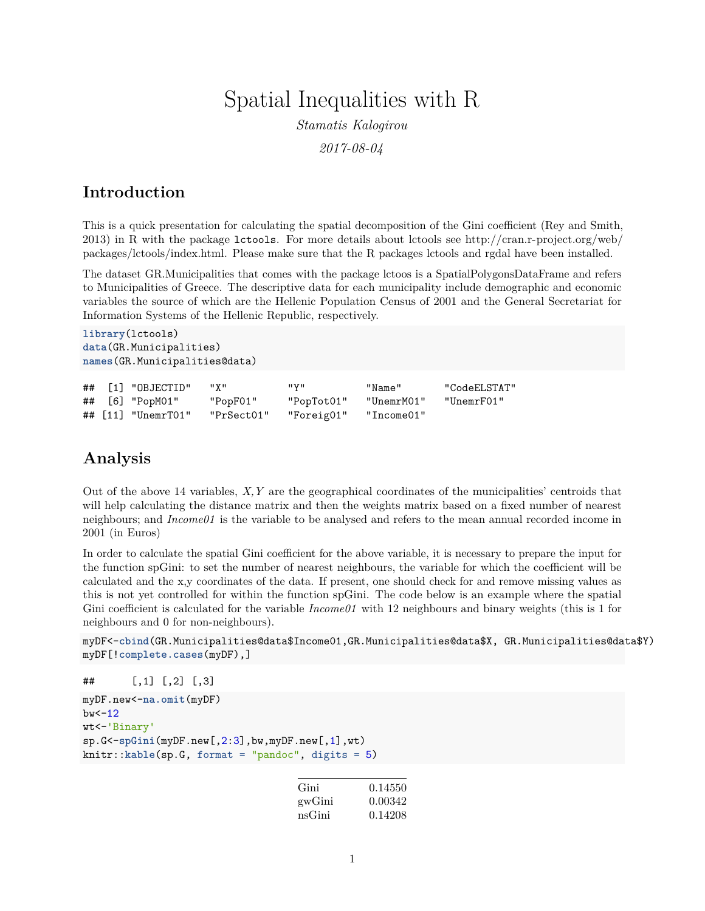## Spatial Inequalities with R

*Stamatis Kalogirou*

*2017-08-04*

## **Introduction**

This is a quick presentation for calculating the spatial decomposition of the Gini coefficient (Rey and Smith, 2013) in R with the package lctools. For more details about lctools see [http://cran.r-project.org/web/](http://cran.r-project.org/web/packages/lctools/index.html) [packages/lctools/index.html.](http://cran.r-project.org/web/packages/lctools/index.html) Please make sure that the R packages lctools and rgdal have been installed.

The dataset GR.Municipalities that comes with the package lctoos is a SpatialPolygonsDataFrame and refers to Municipalities of Greece. The descriptive data for each municipality include demographic and economic variables the source of which are the Hellenic Population Census of 2001 and the General Secretariat for Information Systems of the Hellenic Republic, respectively.

```
library(lctools)
data(GR.Municipalities)
names(GR.Municipalities@data)
```

|  | ## [1] "OBJECTID"    | וו צוו     | пун        | "Name"     | "CodeELSTAT" |
|--|----------------------|------------|------------|------------|--------------|
|  | ## [6] "PopM01"      | "PopF01"   | "PopTot01" | "UnemrM01" | "UnemrF01"   |
|  | ## $[11]$ "UnemrT01" | "PrSect01" | "Foreig01" | "Income01" |              |

## **Analysis**

Out of the above 14 variables, *X,Y* are the geographical coordinates of the municipalities' centroids that will help calculating the distance matrix and then the weights matrix based on a fixed number of nearest neighbours; and *Income01* is the variable to be analysed and refers to the mean annual recorded income in 2001 (in Euros)

In order to calculate the spatial Gini coefficient for the above variable, it is necessary to prepare the input for the function spGini: to set the number of nearest neighbours, the variable for which the coefficient will be calculated and the x,y coordinates of the data. If present, one should check for and remove missing values as this is not yet controlled for within the function spGini. The code below is an example where the spatial Gini coefficient is calculated for the variable *Income01* with 12 neighbours and binary weights (this is 1 for neighbours and 0 for non-neighbours).

```
myDF<-cbind(GR.Municipalities@data$Income01,GR.Municipalities@data$X, GR.Municipalities@data$Y)
myDF[!complete.cases(myDF),]
```

```
## [,1] [,2] [,3]
```

```
myDF.new<-na.omit(myDF)
bw < -12wt<-'Binary'
sp.G<-spGini(myDF.new[,2:3],bw,myDF.new[,1],wt)
knitr::kable(sp.G, format = "pandoc", digits = 5)
```

| Gini   | 0.14550 |
|--------|---------|
| gwGini | 0.00342 |
| nsGini | 0.14208 |